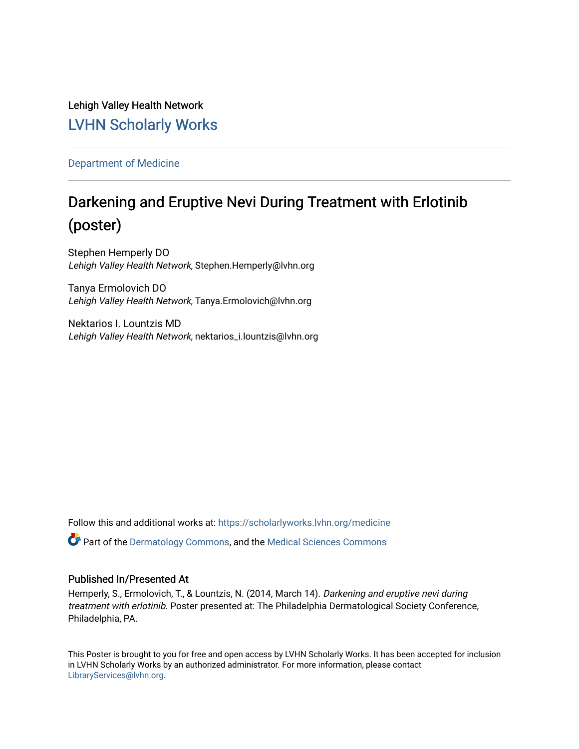Lehigh Valley Health Network [LVHN Scholarly Works](https://scholarlyworks.lvhn.org/)

[Department of Medicine](https://scholarlyworks.lvhn.org/medicine) 

### Darkening and Eruptive Nevi During Treatment with Erlotinib (poster)

Stephen Hemperly DO Lehigh Valley Health Network, Stephen.Hemperly@lvhn.org

Tanya Ermolovich DO Lehigh Valley Health Network, Tanya.Ermolovich@lvhn.org

Nektarios I. Lountzis MD Lehigh Valley Health Network, nektarios\_i.lountzis@lvhn.org

Follow this and additional works at: [https://scholarlyworks.lvhn.org/medicine](https://scholarlyworks.lvhn.org/medicine?utm_source=scholarlyworks.lvhn.org%2Fmedicine%2F441&utm_medium=PDF&utm_campaign=PDFCoverPages) 

Part of the [Dermatology Commons,](http://network.bepress.com/hgg/discipline/684?utm_source=scholarlyworks.lvhn.org%2Fmedicine%2F441&utm_medium=PDF&utm_campaign=PDFCoverPages) and the [Medical Sciences Commons](http://network.bepress.com/hgg/discipline/664?utm_source=scholarlyworks.lvhn.org%2Fmedicine%2F441&utm_medium=PDF&utm_campaign=PDFCoverPages)

#### Published In/Presented At

Hemperly, S., Ermolovich, T., & Lountzis, N. (2014, March 14). Darkening and eruptive nevi during treatment with erlotinib. Poster presented at: The Philadelphia Dermatological Society Conference, Philadelphia, PA.

This Poster is brought to you for free and open access by LVHN Scholarly Works. It has been accepted for inclusion in LVHN Scholarly Works by an authorized administrator. For more information, please contact [LibraryServices@lvhn.org](mailto:LibraryServices@lvhn.org).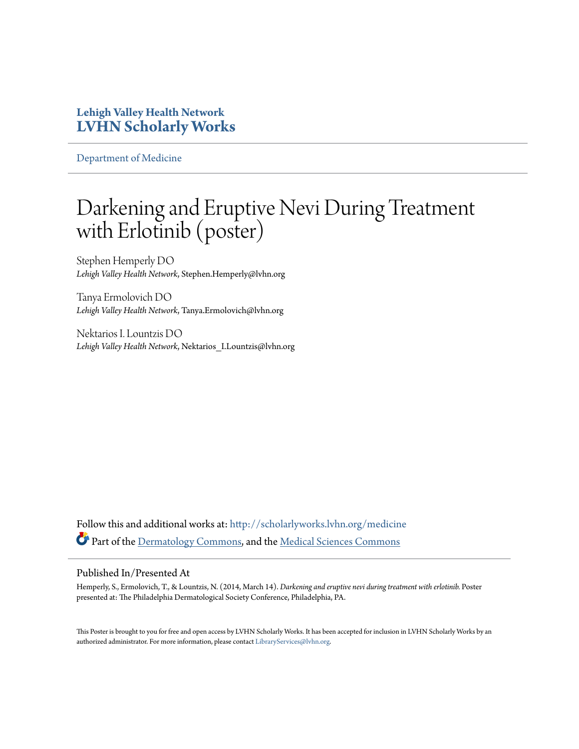#### **Lehigh Valley Health Network [LVHN Scholarly Works](http://scholarlyworks.lvhn.org?utm_source=scholarlyworks.lvhn.org%2Fmedicine%2F441&utm_medium=PDF&utm_campaign=PDFCoverPages)**

[Department of Medicine](http://scholarlyworks.lvhn.org/medicine?utm_source=scholarlyworks.lvhn.org%2Fmedicine%2F441&utm_medium=PDF&utm_campaign=PDFCoverPages)

### Darkening and Eruptive Nevi During Treatment with Erlotinib (poster)

Stephen Hemperly DO *Lehigh Valley Health Network*, Stephen.Hemperly@lvhn.org

Tanya Ermolovich DO *Lehigh Valley Health Network*, Tanya.Ermolovich@lvhn.org

Nektarios I. Lountzis DO *Lehigh Valley Health Network*, Nektarios\_I.Lountzis@lvhn.org

Follow this and additional works at: [http://scholarlyworks.lvhn.org/medicine](http://scholarlyworks.lvhn.org/medicine?utm_source=scholarlyworks.lvhn.org%2Fmedicine%2F441&utm_medium=PDF&utm_campaign=PDFCoverPages) Part of the [Dermatology Commons,](http://network.bepress.com/hgg/discipline/684?utm_source=scholarlyworks.lvhn.org%2Fmedicine%2F441&utm_medium=PDF&utm_campaign=PDFCoverPages) and the [Medical Sciences Commons](http://network.bepress.com/hgg/discipline/664?utm_source=scholarlyworks.lvhn.org%2Fmedicine%2F441&utm_medium=PDF&utm_campaign=PDFCoverPages)

#### Published In/Presented At

Hemperly, S., Ermolovich, T., & Lountzis, N. (2014, March 14). *Darkening and eruptive nevi during treatment with erlotinib.* Poster presented at: The Philadelphia Dermatological Society Conference, Philadelphia, PA.

This Poster is brought to you for free and open access by LVHN Scholarly Works. It has been accepted for inclusion in LVHN Scholarly Works by an authorized administrator. For more information, please contact [LibraryServices@lvhn.org.](mailto:LibraryServices@lvhn.org)